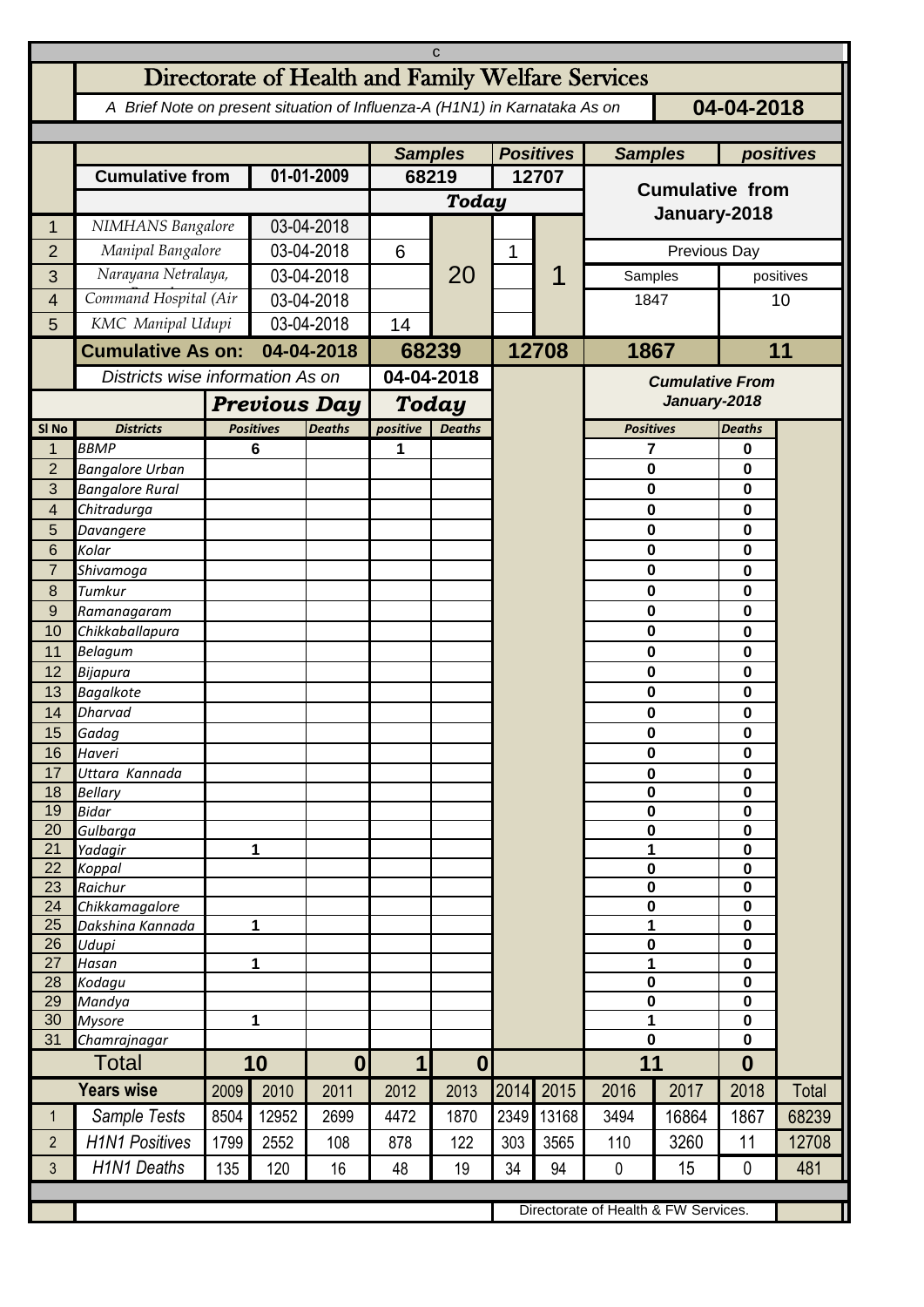| C                                    |                                                                                          |                                  |                     |                  |                       |                |              |           |                        |                        |                            |       |  |
|--------------------------------------|------------------------------------------------------------------------------------------|----------------------------------|---------------------|------------------|-----------------------|----------------|--------------|-----------|------------------------|------------------------|----------------------------|-------|--|
|                                      | Directorate of Health and Family Welfare Services                                        |                                  |                     |                  |                       |                |              |           |                        |                        |                            |       |  |
|                                      | 04-04-2018<br>A Brief Note on present situation of Influenza-A (H1N1) in Karnataka As on |                                  |                     |                  |                       |                |              |           |                        |                        |                            |       |  |
|                                      |                                                                                          | <b>Samples</b>                   |                     | <b>Positives</b> |                       | <b>Samples</b> |              | positives |                        |                        |                            |       |  |
|                                      | <b>Cumulative from</b>                                                                   |                                  | 01-01-2009          |                  | 68219                 |                | 12707        |           | <b>Cumulative from</b> |                        |                            |       |  |
|                                      |                                                                                          |                                  |                     |                  | <b>Today</b>          |                |              |           |                        |                        |                            |       |  |
| 1                                    | NIMHANS Bangalore                                                                        |                                  | 03-04-2018          |                  |                       |                |              |           | January-2018           |                        |                            |       |  |
| $\overline{2}$                       | Manipal Bangalore                                                                        |                                  | 03-04-2018          |                  | 6                     |                | $\mathbf{1}$ |           | Previous Day           |                        |                            |       |  |
| 3                                    | Narayana Netralaya,                                                                      |                                  | 03-04-2018          |                  |                       | 20             |              |           | Samples                | positives              |                            |       |  |
| 4                                    | Command Hospital (Air                                                                    |                                  | 03-04-2018          |                  |                       |                |              |           | 1847                   |                        | 10                         |       |  |
| 5                                    | KMC Manipal Udupi                                                                        |                                  |                     | 03-04-2018       |                       |                |              |           |                        |                        |                            |       |  |
|                                      | <b>Cumulative As on:</b>                                                                 |                                  | 04-04-2018          |                  | 68239                 |                |              | 12708     | 1867                   |                        | 11                         |       |  |
|                                      |                                                                                          | Districts wise information As on |                     |                  | 04-04-2018            |                |              |           |                        | <b>Cumulative From</b> |                            |       |  |
|                                      |                                                                                          |                                  | <b>Previous Day</b> |                  |                       | <b>Today</b>   |              |           |                        | January-2018           |                            |       |  |
| SI <sub>No</sub>                     | <b>Districts</b>                                                                         |                                  | <b>Positives</b>    | <b>Deaths</b>    | positive              | <b>Deaths</b>  |              |           | <b>Positives</b>       |                        | <b>Deaths</b>              |       |  |
| 1<br>$\overline{2}$                  | <b>BBMP</b><br><b>Bangalore Urban</b>                                                    |                                  | 6                   |                  | 1                     |                |              |           | 7<br>$\mathbf 0$       |                        | 0<br>0                     |       |  |
| 3                                    | <b>Bangalore Rural</b>                                                                   |                                  |                     |                  |                       |                |              |           | 0                      |                        | 0                          |       |  |
| 4                                    | Chitradurga                                                                              |                                  |                     |                  |                       |                |              |           | $\mathbf 0$            |                        | 0                          |       |  |
| 5                                    | Davangere                                                                                |                                  |                     |                  |                       |                |              |           | $\bf{0}$               |                        | 0                          |       |  |
| 6<br>$\overline{7}$                  | Kolar                                                                                    |                                  |                     |                  |                       |                |              |           | $\mathbf 0$<br>0       |                        | 0                          |       |  |
| 8                                    | Shivamoga<br>Tumkur                                                                      |                                  |                     |                  |                       |                |              |           | 0                      |                        | 0<br>0                     |       |  |
| 9                                    | Ramanagaram                                                                              |                                  |                     |                  |                       |                |              |           | $\bf{0}$               |                        | 0                          |       |  |
| 10                                   | Chikkaballapura                                                                          |                                  |                     |                  |                       |                |              |           | 0                      |                        | 0                          |       |  |
| 11                                   | Belagum                                                                                  |                                  |                     |                  |                       |                |              |           | $\bf{0}$               |                        | 0                          |       |  |
| 12<br>13                             | Bijapura<br><b>Bagalkote</b>                                                             |                                  |                     |                  |                       |                |              |           | 0<br>$\mathbf 0$       |                        | 0<br>0                     |       |  |
| 14                                   | <b>Dharvad</b>                                                                           |                                  |                     |                  |                       |                |              |           | $\bf{0}$               |                        | 0                          |       |  |
| 15 <sup>7</sup>                      | Gadag                                                                                    |                                  |                     |                  |                       |                |              |           | 0                      |                        | $\pmb{0}$                  |       |  |
| 16                                   | Haveri                                                                                   |                                  |                     |                  |                       |                |              |           | $\bf{0}$               |                        | $\mathbf 0$                |       |  |
| 17<br>18                             | Uttara Kannada<br><b>Bellary</b>                                                         |                                  |                     |                  |                       |                |              |           | $\bf{0}$<br>$\bf{0}$   |                        | $\pmb{0}$<br>$\mathbf 0$   |       |  |
| 19                                   | <b>Bidar</b>                                                                             |                                  |                     |                  |                       |                |              |           | $\pmb{0}$              |                        | $\mathbf 0$                |       |  |
| 20                                   | Gulbarga                                                                                 |                                  |                     |                  |                       |                |              |           | $\pmb{0}$              |                        | $\mathbf 0$                |       |  |
| 21                                   | Yadagir                                                                                  |                                  | 1                   |                  |                       |                |              |           | 1<br>$\pmb{0}$         |                        | $\mathbf 0$                |       |  |
| 22<br>23                             | Koppal<br>Raichur                                                                        |                                  |                     |                  |                       |                |              |           | $\pmb{0}$              |                        | $\mathbf 0$<br>$\mathbf 0$ |       |  |
| 24                                   | Chikkamagalore                                                                           |                                  |                     |                  |                       |                |              |           | $\pmb{0}$              |                        | $\mathbf 0$                |       |  |
| 25                                   | Dakshina Kannada                                                                         | 1                                |                     |                  |                       |                |              |           | 1                      |                        | $\mathbf 0$                |       |  |
| 26<br>27                             | Udupi<br>Hasan                                                                           | 1                                |                     |                  |                       |                |              |           | 0<br>1                 |                        | $\mathbf 0$<br>$\mathbf 0$ |       |  |
| 28                                   | Kodagu                                                                                   |                                  |                     |                  |                       |                |              |           | $\bf{0}$               |                        | $\mathbf 0$                |       |  |
| 29                                   | Mandya                                                                                   |                                  |                     |                  |                       |                |              |           | $\mathbf 0$            |                        | $\mathbf 0$                |       |  |
| 30<br>31                             | <b>Mysore</b><br>Chamrajnagar                                                            | 1                                |                     |                  |                       |                |              |           | 1<br>$\mathbf 0$       |                        | $\mathbf 0$<br>$\mathbf 0$ |       |  |
|                                      | <b>Total</b>                                                                             | 10                               |                     | $\boldsymbol{0}$ | $\boldsymbol{0}$<br>1 |                |              |           | 11                     | $\boldsymbol{0}$       |                            |       |  |
|                                      | <b>Years wise</b>                                                                        | 2009                             | 2010                | 2011             | 2012                  | 2013           | 2014         | 2015      | 2016                   | 2017                   | 2018                       | Total |  |
| $\mathbf{1}$                         | Sample Tests                                                                             | 8504                             | 12952               | 2699             | 4472                  | 1870           | 2349         | 13168     | 3494                   | 16864                  | 1867                       | 68239 |  |
| $\overline{2}$                       | <b>H1N1 Positives</b>                                                                    | 1799                             | 2552                | 108              | 878                   | 122            | 303          | 3565      | 110                    | 3260                   | 11                         | 12708 |  |
| 3                                    | <b>H1N1 Deaths</b>                                                                       | 135                              | 120                 | 16               | 48                    | 19             | 34           | 94        | $\mathbf 0$            | 15                     | $\mathbf{0}$               | 481   |  |
|                                      |                                                                                          |                                  |                     |                  |                       |                |              |           |                        |                        |                            |       |  |
| Directorate of Health & FW Services. |                                                                                          |                                  |                     |                  |                       |                |              |           |                        |                        |                            |       |  |